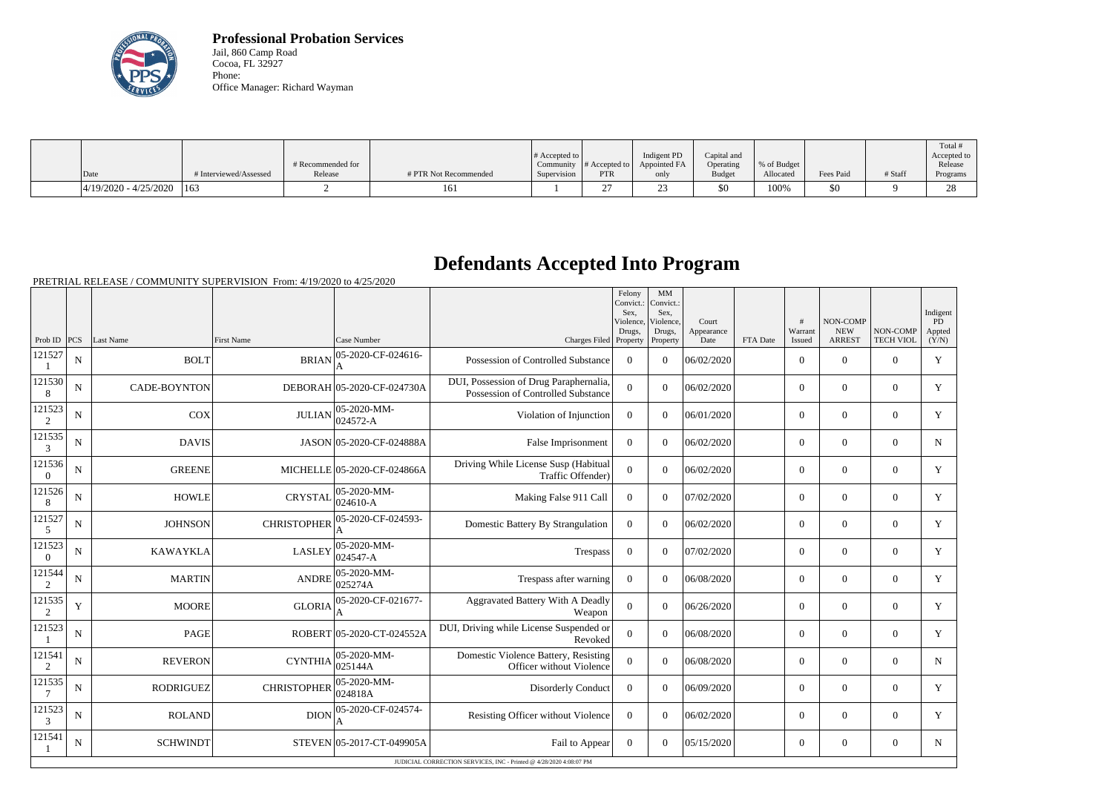

**Professional Probation Services** Jail, 860 Camp Road Cocoa, FL 32927 Phone: Office Manager: Richard Wayman

|                               |                        |                   |                       |                       |               |              |               |             |           |         | Total #     |
|-------------------------------|------------------------|-------------------|-----------------------|-----------------------|---------------|--------------|---------------|-------------|-----------|---------|-------------|
|                               |                        |                   |                       | $\#$ Accepted to $\ $ |               | Indigent PD  | Capital and   |             |           |         | Accepted to |
|                               |                        | # Recommended for |                       | Community             | # Accepted to | Appointed FA | Operating     | % of Budget |           |         | Release     |
| Date                          | # Interviewed/Assessed | Release           | # PTR Not Recommended | Supervision           | <b>PTR</b>    | only         | <b>Budget</b> | Allocated   | Fees Paid | # Staff | Programs    |
| $ 4/19/2020 - 4/25/2020 $ 163 |                        |                   | 161                   |                       | ∼             |              | \$0           | 100%        | \$0       |         | 28          |

## **Defendants Accepted Into Program**

PRETRIAL RELEASE / COMMUNITY SUPERVISION From: 4/19/2020 to 4/25/2020

|                          |                                                                    |                  |                    |                                 |                                                                              | Felony<br>Convict.:<br>Sex.<br>Violence, | MM<br>Convict.:<br>Sex.<br>Violence, | Court              |          | #                 | NON-COMP                    |                              | Indigent<br>PD  |
|--------------------------|--------------------------------------------------------------------|------------------|--------------------|---------------------------------|------------------------------------------------------------------------------|------------------------------------------|--------------------------------------|--------------------|----------|-------------------|-----------------------------|------------------------------|-----------------|
| Prob ID PCS              |                                                                    | Last Name        | <b>First Name</b>  | Case Number                     | Charges Filed Property                                                       | Drugs,                                   | Drugs,<br>Property                   | Appearance<br>Date | FTA Date | Warrant<br>Issued | <b>NEW</b><br><b>ARREST</b> | NON-COMP<br><b>TECH VIOL</b> | Appted<br>(Y/N) |
| 121527                   | N                                                                  | <b>BOLT</b>      | <b>BRIAN</b>       | 05-2020-CF-024616-<br>A         | Possession of Controlled Substance                                           | $\theta$                                 | $\theta$                             | 06/02/2020         |          | $\Omega$          | $\theta$                    | $\Omega$                     | Y               |
| 121530<br>8              | N                                                                  | CADE-BOYNTON     |                    | DEBORAH 05-2020-CF-024730A      | DUI, Possession of Drug Paraphernalia,<br>Possession of Controlled Substance | $\overline{0}$                           | $\Omega$                             | 06/02/2020         |          | $\overline{0}$    | $\overline{0}$              | $\overline{0}$               | Y               |
| 121523<br>2              | N                                                                  | <b>COX</b>       | <b>JULIAN</b>      | 05-2020-MM-<br>024572-A         | Violation of Injunction                                                      | $\theta$                                 | $\Omega$                             | 06/01/2020         |          | $\overline{0}$    | $\Omega$                    | $\Omega$                     | Y               |
| 121535<br>3              | $\mathbf N$                                                        | <b>DAVIS</b>     |                    | JASON 05-2020-CF-024888A        | False Imprisonment                                                           | $\overline{0}$                           | $\Omega$                             | 06/02/2020         |          | $\overline{0}$    | $\overline{0}$              | $\overline{0}$               | $\mathbf N$     |
| 121536<br>$\Omega$       | N                                                                  | <b>GREENE</b>    |                    | MICHELLE 05-2020-CF-024866A     | Driving While License Susp (Habitual<br>Traffic Offender)                    | $\Omega$                                 | $\theta$                             | 06/02/2020         |          | $\Omega$          | $\theta$                    | $\overline{0}$               | Y               |
| 121526<br>8              | N                                                                  | <b>HOWLE</b>     | <b>CRYSTAL</b>     | $ 05 - 2020 - MM -$<br>024610-A | Making False 911 Call                                                        | $\overline{0}$                           | $\theta$                             | 07/02/2020         |          | $\overline{0}$    | $\theta$                    | $\overline{0}$               | Y               |
| 121527<br>5              | N                                                                  | <b>JOHNSON</b>   | <b>CHRISTOPHER</b> | 05-2020-CF-024593-              | Domestic Battery By Strangulation                                            | $\Omega$                                 | $\Omega$                             | 06/02/2020         |          | $\overline{0}$    | $\Omega$                    | $\overline{0}$               | $\mathbf Y$     |
| 121523<br>$\overline{0}$ | N                                                                  | <b>KAWAYKLA</b>  | <b>LASLEY</b>      | 05-2020-MM-<br>024547-A         | Trespass                                                                     | $\mathbf{0}$                             | $\Omega$                             | 07/02/2020         |          | $\Omega$          | $\Omega$                    | $\Omega$                     | Y               |
| 121544<br>2              | N                                                                  | <b>MARTIN</b>    | <b>ANDRE</b>       | 05-2020-MM-<br>025274A          | Trespass after warning                                                       | $\overline{0}$                           | $\theta$                             | 06/08/2020         |          | $\Omega$          | $\theta$                    | $\Omega$                     | Y               |
| 121535<br>$\overline{2}$ | Y                                                                  | <b>MOORE</b>     | <b>GLORIA</b>      | 05-2020-CF-021677-              | Aggravated Battery With A Deadly<br>Weapon                                   | $\overline{0}$                           | $\Omega$                             | 06/26/2020         |          | $\overline{0}$    | $\boldsymbol{0}$            | $\overline{0}$               | Y               |
| 121523                   | N                                                                  | PAGE             |                    | ROBERT 05-2020-CT-024552A       | DUI, Driving while License Suspended or<br>Revoked                           | $\mathbf{0}$                             | $\Omega$                             | 06/08/2020         |          | $\overline{0}$    | $\mathbf{0}$                | $\mathbf{0}$                 | Y               |
| 121541<br>2              | N                                                                  | <b>REVERON</b>   | <b>CYNTHIA</b>     | 05-2020-MM-<br>025144A          | Domestic Violence Battery, Resisting<br>Officer without Violence             | $\overline{0}$                           | $\Omega$                             | 06/08/2020         |          | $\overline{0}$    | $\theta$                    | $\Omega$                     | $\mathbf N$     |
| 121535                   | N                                                                  | <b>RODRIGUEZ</b> | <b>CHRISTOPHER</b> | 05-2020-MM-<br>024818A          | <b>Disorderly Conduct</b>                                                    | $\theta$                                 | $\theta$                             | 06/09/2020         |          | $\overline{0}$    | $\theta$                    | $\Omega$                     | Y               |
| 121523<br>3              | N                                                                  | <b>ROLAND</b>    | <b>DION</b>        | 05-2020-CF-024574-              | Resisting Officer without Violence                                           | $\Omega$                                 | $\Omega$                             | 06/02/2020         |          | $\overline{0}$    | $\theta$                    | $\overline{0}$               | Y               |
| 121541                   | N                                                                  | <b>SCHWINDT</b>  |                    | STEVEN 05-2017-CT-049905A       | Fail to Appear                                                               | $\overline{0}$                           | $\Omega$                             | 05/15/2020         |          | $\overline{0}$    | $\mathbf{0}$                | $\overline{0}$               | N               |
|                          | JUDICIAL CORRECTION SERVICES, INC - Printed @ 4/28/2020 4:08:07 PM |                  |                    |                                 |                                                                              |                                          |                                      |                    |          |                   |                             |                              |                 |